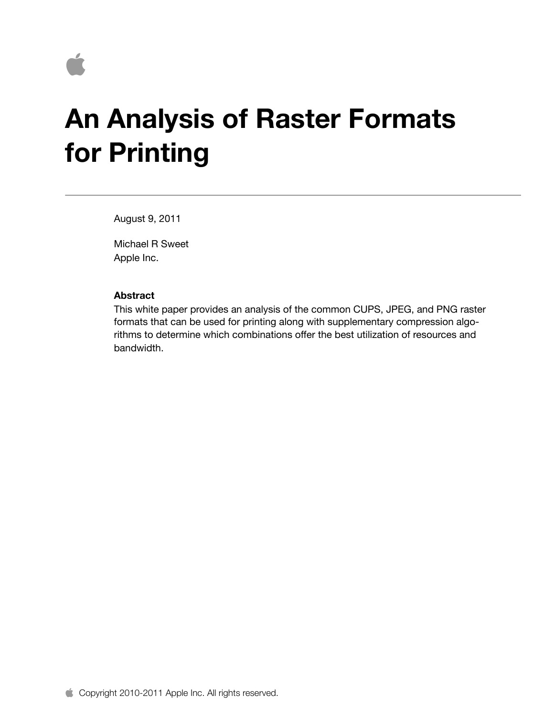

# **An Analysis of Raster Formats for Printing**

August 9, 2011

Michael R Sweet Apple Inc.

#### **Abstract**

This white paper provides an analysis of the common CUPS, JPEG, and PNG raster formats that can be used for printing along with supplementary compression algorithms to determine which combinations offer the best utilization of resources and bandwidth.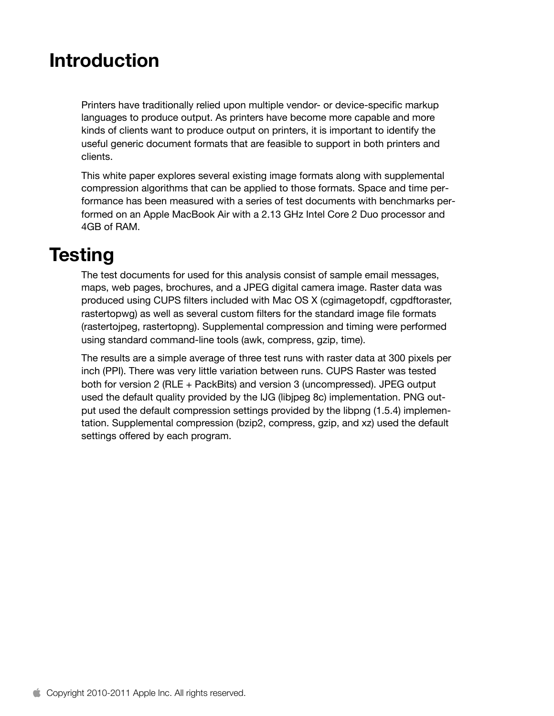## **Introduction**

Printers have traditionally relied upon multiple vendor- or device-specific markup languages to produce output. As printers have become more capable and more kinds of clients want to produce output on printers, it is important to identify the useful generic document formats that are feasible to support in both printers and clients.

This white paper explores several existing image formats along with supplemental compression algorithms that can be applied to those formats. Space and time performance has been measured with a series of test documents with benchmarks performed on an Apple MacBook Air with a 2.13 GHz Intel Core 2 Duo processor and 4GB of RAM.

### **Testing**

The test documents for used for this analysis consist of sample email messages, maps, web pages, brochures, and a JPEG digital camera image. Raster data was produced using CUPS filters included with Mac OS X (cgimagetopdf, cgpdftoraster, rastertopwg) as well as several custom filters for the standard image file formats (rastertojpeg, rastertopng). Supplemental compression and timing were performed using standard command-line tools (awk, compress, gzip, time).

The results are a simple average of three test runs with raster data at 300 pixels per inch (PPI). There was very little variation between runs. CUPS Raster was tested both for version 2 (RLE + PackBits) and version 3 (uncompressed). JPEG output used the default quality provided by the IJG (libjpeg 8c) implementation. PNG output used the default compression settings provided by the libpng (1.5.4) implementation. Supplemental compression (bzip2, compress, gzip, and xz) used the default settings offered by each program.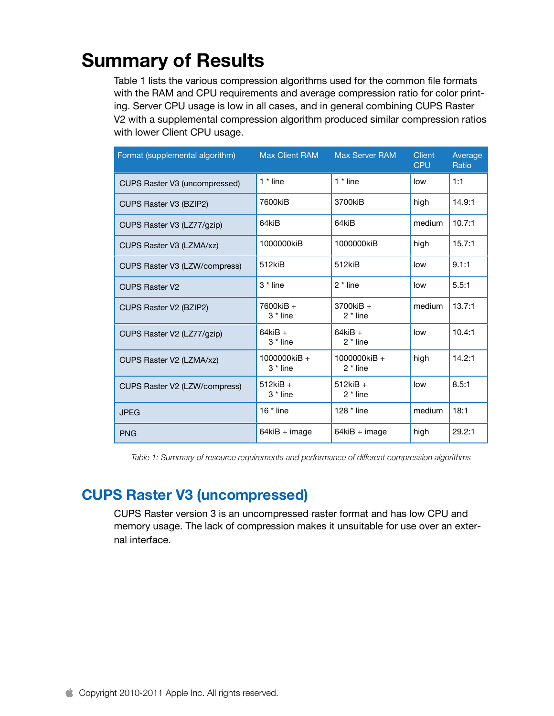# **Summary of Results**

Table 1 lists the various compression algorithms used for the common file formats with the RAM and CPU requirements and average compression ratio for color printing. Server CPU usage is low in all cases, and in general combining CUPS Raster V2 with a supplemental compression algorithm produced similar compression ratios with lower Client CPU usage.

| Format (supplemental algorithm) | <b>Max Client RAM</b>                 | <b>Max Server RAM</b>          | <b>Client</b><br><b>CPU</b> | Average<br>Ratio |
|---------------------------------|---------------------------------------|--------------------------------|-----------------------------|------------------|
| CUPS Raster V3 (uncompressed)   | $1 * line$                            | $1 * line$                     | low                         | 1:1              |
| CUPS Raster V3 (BZIP2)          | 7600kiB                               | 3700kiB                        | high                        | 14.9:1           |
| CUPS Raster V3 (LZ77/gzip)      | 64kiB                                 | 64kiB                          | medium                      | 10.7:1           |
| CUPS Raster V3 (LZMA/xz)        | 1000000kiB                            | 1000000kiB                     | high                        | 15.7:1           |
| CUPS Raster V3 (LZW/compress)   | 512kiB                                | 512kiB                         | low                         | 9.1:1            |
| <b>CUPS Raster V2</b>           | 3 * line                              | $2 * line$                     | low                         | 5.5:1            |
| CUPS Raster V2 (BZIP2)          | 7600kiB +<br>3 <sup>*</sup> line      | 3700kiB +<br>$2 * line$        | medium                      | 13.7:1           |
| CUPS Raster V2 (LZ77/gzip)      | $64$ ki $B +$<br>3 <sup>*</sup> line  | $64$ ki $B +$<br>$2 * line$    | low                         | 10.4:1           |
| CUPS Raster V2 (LZMA/xz)        | 1000000kiB +<br>3 <sup>*</sup> line   | 1000000 $k$ iB +<br>$2 * line$ | high                        | 14.2:1           |
| CUPS Raster V2 (LZW/compress)   | $512$ ki $B +$<br>3 <sup>*</sup> line | $512$ ki $B +$<br>$2 * line$   | low                         | 8.5:1            |
| <b>JPEG</b>                     | 16 $*$ line                           | 128 $*$ line                   | medium                      | 18:1             |
| <b>PNG</b>                      | 64kiB + image                         | 64kiB + image                  | high                        | 29.2:1           |

*Table 1: Summary of resource requirements and performance of different compression algorithms*

### **CUPS Raster V3 (uncompressed)**

CUPS Raster version 3 is an uncompressed raster format and has low CPU and memory usage. The lack of compression makes it unsuitable for use over an external interface.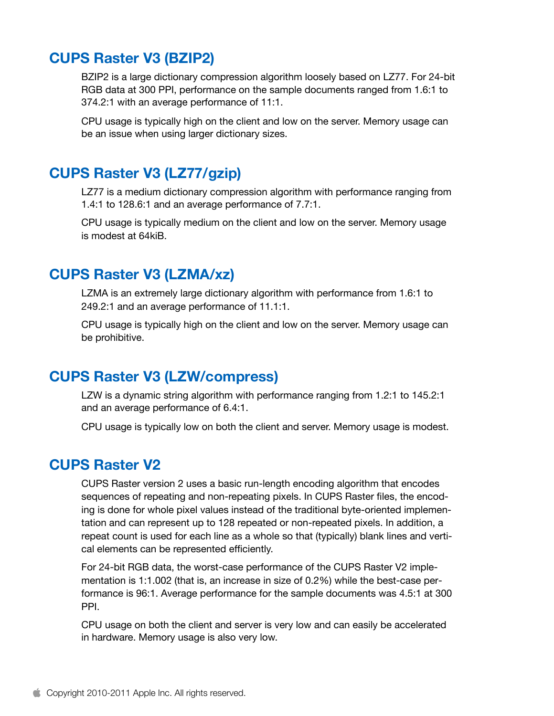### **CUPS Raster V3 (BZIP2)**

BZIP2 is a large dictionary compression algorithm loosely based on LZ77. For 24-bit RGB data at 300 PPI, performance on the sample documents ranged from 1.6:1 to 374.2:1 with an average performance of 11:1.

CPU usage is typically high on the client and low on the server. Memory usage can be an issue when using larger dictionary sizes.

#### **CUPS Raster V3 (LZ77/gzip)**

LZ77 is a medium dictionary compression algorithm with performance ranging from 1.4:1 to 128.6:1 and an average performance of 7.7:1.

CPU usage is typically medium on the client and low on the server. Memory usage is modest at 64kiB.

#### **CUPS Raster V3 (LZMA/xz)**

LZMA is an extremely large dictionary algorithm with performance from 1.6:1 to 249.2:1 and an average performance of 11.1:1.

CPU usage is typically high on the client and low on the server. Memory usage can be prohibitive.

#### **CUPS Raster V3 (LZW/compress)**

LZW is a dynamic string algorithm with performance ranging from 1.2:1 to 145.2:1 and an average performance of 6.4:1.

CPU usage is typically low on both the client and server. Memory usage is modest.

#### **CUPS Raster V2**

CUPS Raster version 2 uses a basic run-length encoding algorithm that encodes sequences of repeating and non-repeating pixels. In CUPS Raster files, the encoding is done for whole pixel values instead of the traditional byte-oriented implementation and can represent up to 128 repeated or non-repeated pixels. In addition, a repeat count is used for each line as a whole so that (typically) blank lines and vertical elements can be represented efficiently.

For 24-bit RGB data, the worst-case performance of the CUPS Raster V2 implementation is 1:1.002 (that is, an increase in size of 0.2%) while the best-case performance is 96:1. Average performance for the sample documents was 4.5:1 at 300 PPI.

CPU usage on both the client and server is very low and can easily be accelerated in hardware. Memory usage is also very low.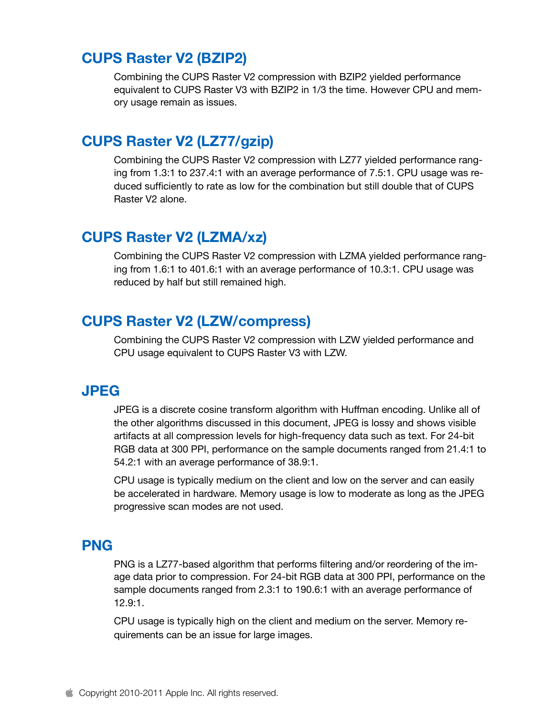### **CUPS Raster V2 (BZIP2)**

Combining the CUPS Raster V2 compression with BZIP2 yielded performance equivalent to CUPS Raster V3 with BZIP2 in 1/3 the time. However CPU and memory usage remain as issues.

### **CUPS Raster V2 (LZ77/gzip)**

Combining the CUPS Raster V2 compression with LZ77 yielded performance ranging from 1.3:1 to 237.4:1 with an average performance of 7.5:1. CPU usage was reduced sufficiently to rate as low for the combination but still double that of CUPS Raster V2 alone.

### **CUPS Raster V2 (LZMA/xz)**

Combining the CUPS Raster V2 compression with LZMA yielded performance ranging from 1.6:1 to 401.6:1 with an average performance of 10.3:1. CPU usage was reduced by half but still remained high.

### **CUPS Raster V2 (LZW/compress)**

Combining the CUPS Raster V2 compression with LZW yielded performance and CPU usage equivalent to CUPS Raster V3 with LZW.

#### **JPEG**

JPEG is a discrete cosine transform algorithm with Huffman encoding. Unlike all of the other algorithms discussed in this document, JPEG is lossy and shows visible artifacts at all compression levels for high-frequency data such as text. For 24-bit RGB data at 300 PPI, performance on the sample documents ranged from 21.4:1 to 54.2:1 with an average performance of 38.9:1.

CPU usage is typically medium on the client and low on the server and can easily be accelerated in hardware. Memory usage is low to moderate as long as the JPEG progressive scan modes are not used.

#### **PNG**

PNG is a LZ77-based algorithm that performs filtering and/or reordering of the image data prior to compression. For 24-bit RGB data at 300 PPI, performance on the sample documents ranged from 2.3:1 to 190.6:1 with an average performance of 12.9:1.

CPU usage is typically high on the client and medium on the server. Memory requirements can be an issue for large images.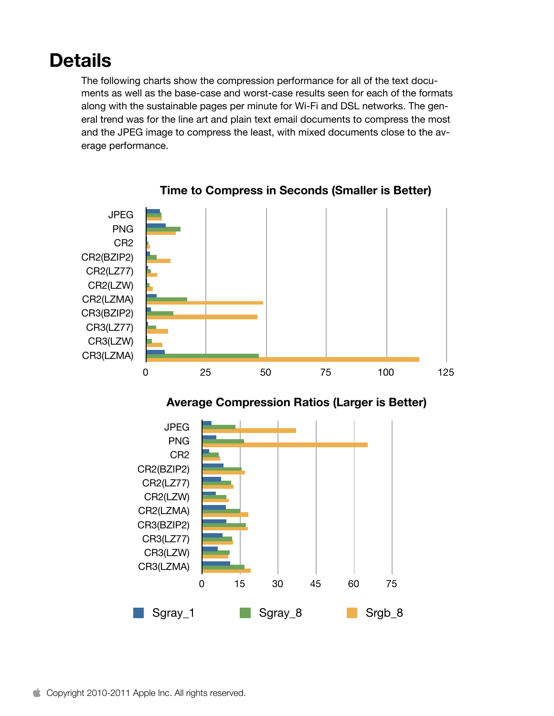### **Details**

The following charts show the compression performance for all of the text documents as well as the base-case and worst-case results seen for each of the formats along with the sustainable pages per minute for Wi-Fi and DSL networks. The general trend was for the line art and plain text email documents to compress the most and the JPEG image to compress the least, with mixed documents close to the average performance.



**Time to Compress in Seconds (Smaller is Better)**



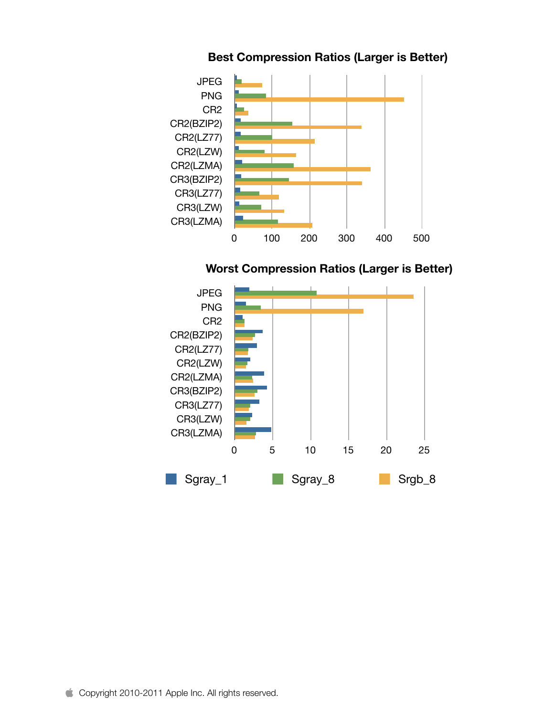

#### **Best Compression Ratios (Larger is Better)**



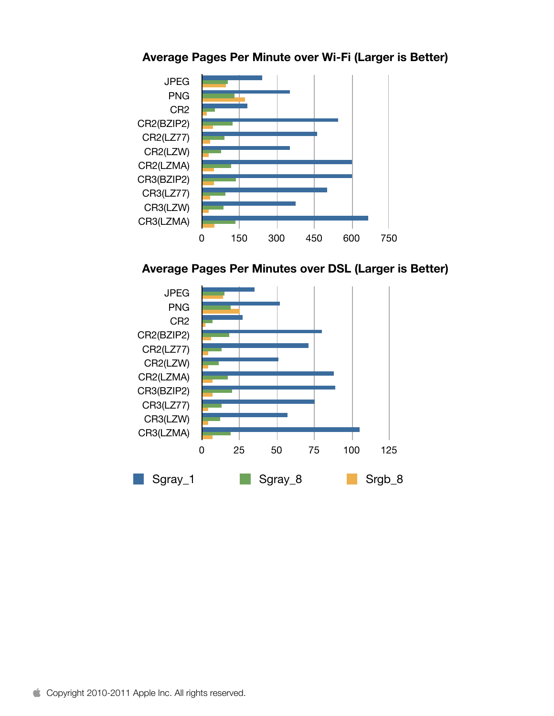

#### **Average Pages Per Minute over Wi-Fi (Larger is Better)**